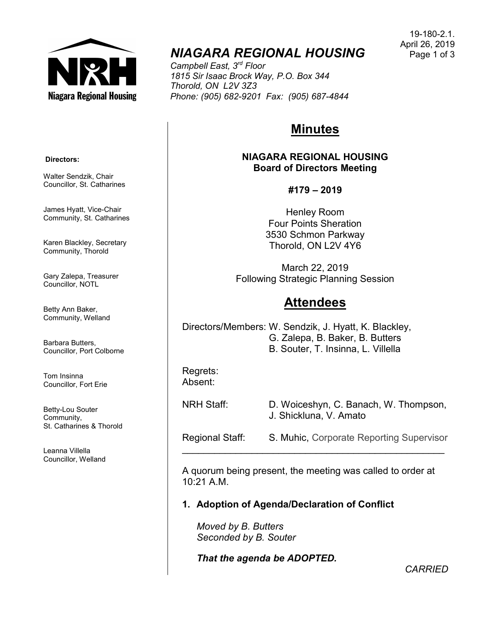

# NIAGARA REGIONAL HOUSING

Campbell East, 3<sup>rd</sup> Floor 1815 Sir Isaac Brock Way, P.O. Box 344 Thorold, ON L2V 3Z3 Phone: (905) 682-9201 Fax: (905) 687-4844

# Minutes

NIAGARA REGIONAL HOUSING Board of Directors Meeting

### #179 – 2019

Henley Room Four Points Sheration 3530 Schmon Parkway Thorold, ON L2V 4Y6

March 22, 2019 Following Strategic Planning Session

# **Attendees**

Directors/Members: W. Sendzik, J. Hyatt, K. Blackley, G. Zalepa, B. Baker, B. Butters B. Souter, T. Insinna, L. Villella

Regrets: Absent:

NRH Staff: D. Woiceshyn, C. Banach, W. Thompson, J. Shickluna, V. Amato

Regional Staff: S. Muhic, Corporate Reporting Supervisor  $\mathcal{L}_\text{max}$  , and the set of the set of the set of the set of the set of the set of the set of the set of the set of the set of the set of the set of the set of the set of the set of the set of the set of the set of the

A quorum being present, the meeting was called to order at 10:21 A.M.

### 1. Adoption of Agenda/Declaration of Conflict

Moved by B. Butters Seconded by B. Souter

That the agenda be ADOPTED.

**CARRIED** 

#### Directors:

Walter Sendzik, Chair Councillor, St. Catharines

James Hyatt, Vice-Chair Community, St. Catharines

Karen Blackley, Secretary Community, Thorold

Gary Zalepa, Treasurer Councillor, NOTL

Betty Ann Baker, Community, Welland

Barbara Butters, Councillor, Port Colborne

Tom Insinna Councillor, Fort Erie

Betty-Lou Souter Community, St. Catharines & Thorold

Leanna Villella Councillor, Welland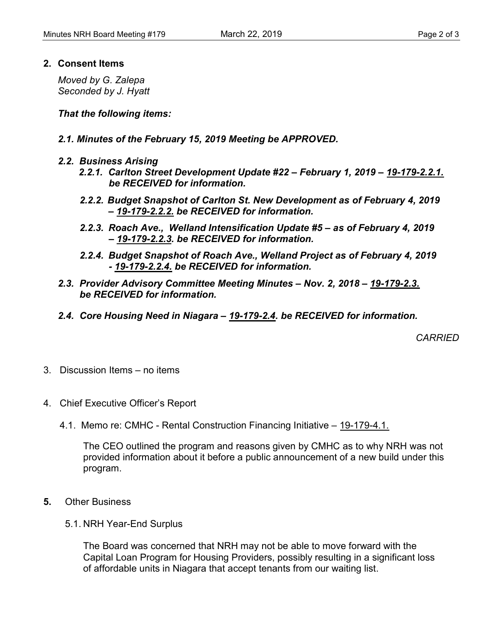#### 2. Consent Items

Moved by G. Zalepa Seconded by J. Hyatt

That the following items:

- 2.1. Minutes of the February 15, 2019 Meeting be APPROVED.
- 2.2. Business Arising
	- 2.2.1. Carlton Street Development Update #22 February 1, 2019 19-179-2.2.1. be RECEIVED for information.
	- 2.2.2. Budget Snapshot of Carlton St. New Development as of February 4, 2019 – 19-179-2.2.2. be RECEIVED for information.
	- 2.2.3. Roach Ave., Welland Intensification Update #5 as of February 4, 2019 – 19-179-2.2.3. be RECEIVED for information.
	- 2.2.4. Budget Snapshot of Roach Ave., Welland Project as of February 4, 2019 - 19-179-2.2.4. be RECEIVED for information.
- 2.3. Provider Advisory Committee Meeting Minutes Nov. 2, 2018 19-179-2.3. be RECEIVED for information.
- 2.4. Core Housing Need in Niagara 19-179-2.4. be RECEIVED for information.

**CARRIED** 

- 3. Discussion Items no items
- 4. Chief Executive Officer's Report
	- 4.1. Memo re: CMHC Rental Construction Financing Initiative 19-179-4.1.

The CEO outlined the program and reasons given by CMHC as to why NRH was not provided information about it before a public announcement of a new build under this program.

- 5. Other Business
	- 5.1. NRH Year-End Surplus

The Board was concerned that NRH may not be able to move forward with the Capital Loan Program for Housing Providers, possibly resulting in a significant loss of affordable units in Niagara that accept tenants from our waiting list.